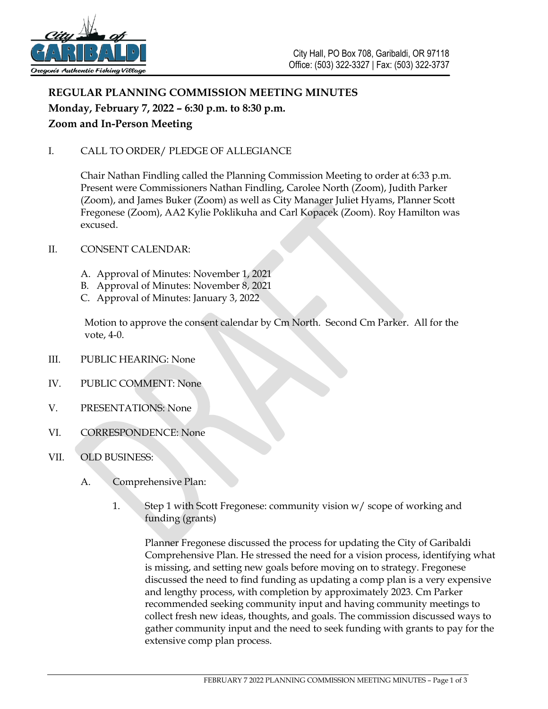

# **REGULAR PLANNING COMMISSION MEETING MINUTES Monday, February 7, 2022 – 6:30 p.m. to 8:30 p.m. Zoom and In-Person Meeting**

## I. CALL TO ORDER/ PLEDGE OF ALLEGIANCE

Chair Nathan Findling called the Planning Commission Meeting to order at 6:33 p.m. Present were Commissioners Nathan Findling, Carolee North (Zoom), Judith Parker (Zoom), and James Buker (Zoom) as well as City Manager Juliet Hyams, Planner Scott Fregonese (Zoom), AA2 Kylie Poklikuha and Carl Kopacek (Zoom). Roy Hamilton was excused.

### II. CONSENT CALENDAR:

- A. Approval of Minutes: November 1, 2021
- B. Approval of Minutes: November 8, 2021
- C. Approval of Minutes: January 3, 2022

Motion to approve the consent calendar by Cm North. Second Cm Parker. All for the vote, 4-0.

- III. PUBLIC HEARING: None
- IV. PUBLIC COMMENT: None
- V. PRESENTATIONS: None
- VI. CORRESPONDENCE: None
- VII. OLD BUSINESS:
	- A. Comprehensive Plan:
		- 1. Step 1 with Scott Fregonese: community vision w/ scope of working and funding (grants)

Planner Fregonese discussed the process for updating the City of Garibaldi Comprehensive Plan. He stressed the need for a vision process, identifying what is missing, and setting new goals before moving on to strategy. Fregonese discussed the need to find funding as updating a comp plan is a very expensive and lengthy process, with completion by approximately 2023. Cm Parker recommended seeking community input and having community meetings to collect fresh new ideas, thoughts, and goals. The commission discussed ways to gather community input and the need to seek funding with grants to pay for the extensive comp plan process.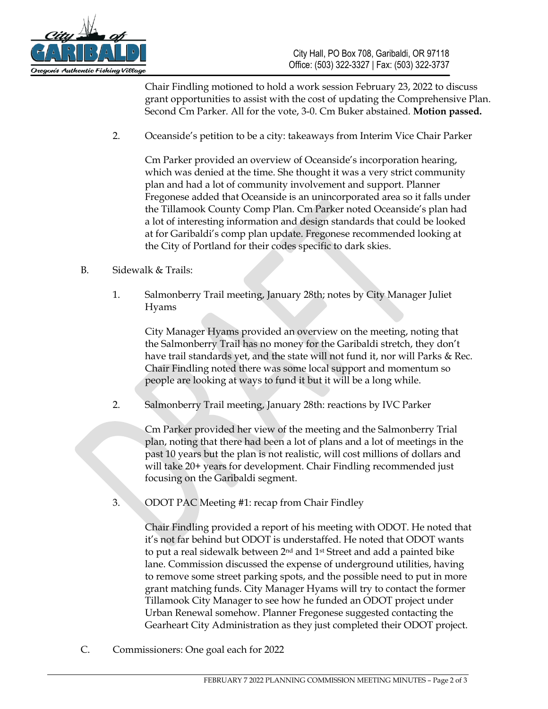

Chair Findling motioned to hold a work session February 23, 2022 to discuss grant opportunities to assist with the cost of updating the Comprehensive Plan. Second Cm Parker. All for the vote, 3-0. Cm Buker abstained. **Motion passed.**

2. Oceanside's petition to be a city: takeaways from Interim Vice Chair Parker

Cm Parker provided an overview of Oceanside's incorporation hearing, which was denied at the time. She thought it was a very strict community plan and had a lot of community involvement and support. Planner Fregonese added that Oceanside is an unincorporated area so it falls under the Tillamook County Comp Plan. Cm Parker noted Oceanside's plan had a lot of interesting information and design standards that could be looked at for Garibaldi's comp plan update. Fregonese recommended looking at the City of Portland for their codes specific to dark skies.

- B. Sidewalk & Trails:
	- 1. Salmonberry Trail meeting, January 28th; notes by City Manager Juliet Hyams

City Manager Hyams provided an overview on the meeting, noting that the Salmonberry Trail has no money for the Garibaldi stretch, they don't have trail standards yet, and the state will not fund it, nor will Parks & Rec. Chair Findling noted there was some local support and momentum so people are looking at ways to fund it but it will be a long while.

2. Salmonberry Trail meeting, January 28th: reactions by IVC Parker

Cm Parker provided her view of the meeting and the Salmonberry Trial plan, noting that there had been a lot of plans and a lot of meetings in the past 10 years but the plan is not realistic, will cost millions of dollars and will take 20+ years for development. Chair Findling recommended just focusing on the Garibaldi segment.

3. ODOT PAC Meeting #1: recap from Chair Findley

Chair Findling provided a report of his meeting with ODOT. He noted that it's not far behind but ODOT is understaffed. He noted that ODOT wants to put a real sidewalk between 2nd and 1st Street and add a painted bike lane. Commission discussed the expense of underground utilities, having to remove some street parking spots, and the possible need to put in more grant matching funds. City Manager Hyams will try to contact the former Tillamook City Manager to see how he funded an ODOT project under Urban Renewal somehow. Planner Fregonese suggested contacting the Gearheart City Administration as they just completed their ODOT project.

C. Commissioners: One goal each for 2022